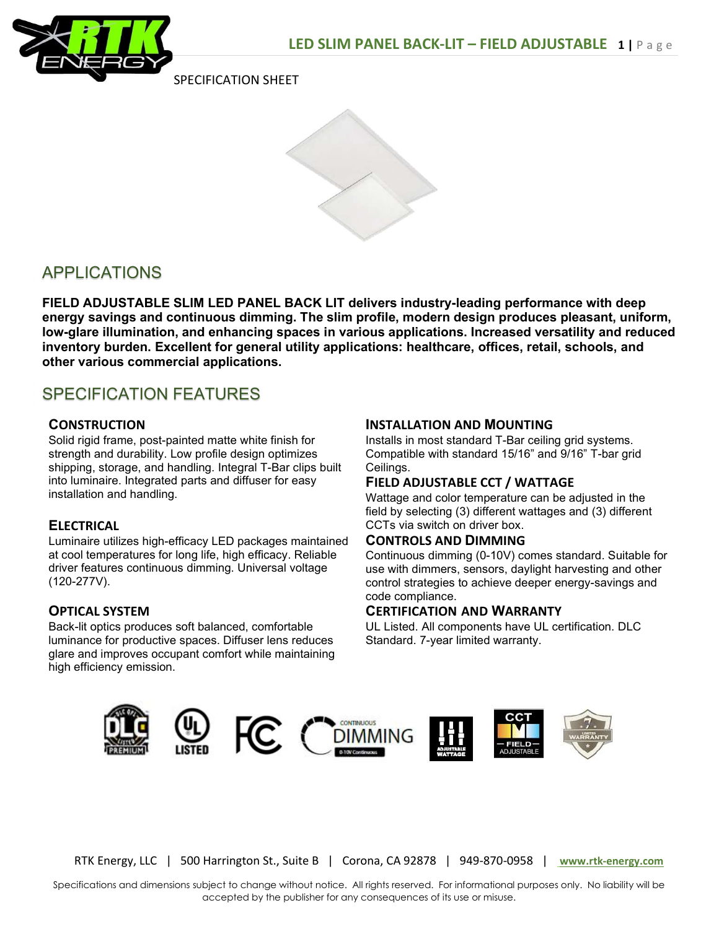

SPECIFICATION SHEET



# APPLICATIONS

FIELD ADJUSTABLE SLIM LED PANEL BACK LIT delivers industry-leading performance with deep energy savings and continuous dimming. The slim profile, modern design produces pleasant, uniform, low-glare illumination, and enhancing spaces in various applications. Increased versatility and reduced inventory burden. Excellent for general utility applications: healthcare, offices, retail, schools, and other various commercial applications.

# SPECIFICATION FEATURES

## **CONSTRUCTION**

Solid rigid frame, post-painted matte white finish for strength and durability. Low profile design optimizes shipping, storage, and handling. Integral T-Bar clips built into luminaire. Integrated parts and diffuser for easy installation and handling.

## **ELECTRICAL**

Luminaire utilizes high-efficacy LED packages maintained at cool temperatures for long life, high efficacy. Reliable driver features continuous dimming. Universal voltage (120-277V).

## OPTICAL SYSTEM

Back-lit optics produces soft balanced, comfortable luminance for productive spaces. Diffuser lens reduces glare and improves occupant comfort while maintaining high efficiency emission.

#### INSTALLATION AND MOUNTING

Installs in most standard T-Bar ceiling grid systems. Compatible with standard 15/16" and 9/16" T-bar grid Ceilings.

#### FIELD ADJUSTABLE CCT / WATTAGE

Wattage and color temperature can be adjusted in the field by selecting (3) different wattages and (3) different CCTs via switch on driver box.

#### CONTROLS AND DIMMING

Continuous dimming (0-10V) comes standard. Suitable for use with dimmers, sensors, daylight harvesting and other control strategies to achieve deeper energy-savings and code compliance.

#### CERTIFICATION AND WARRANTY

UL Listed. All components have UL certification. DLC Standard. 7-year limited warranty.



RTK Energy, LLC | 500 Harrington St., Suite B | Corona, CA 92878 | 949-870-0958 | www.rtk-energy.com

Specifications and dimensions subject to change without notice. All rights reserved. For informational purposes only. No liability will be accepted by the publisher for any consequences of its use or misuse.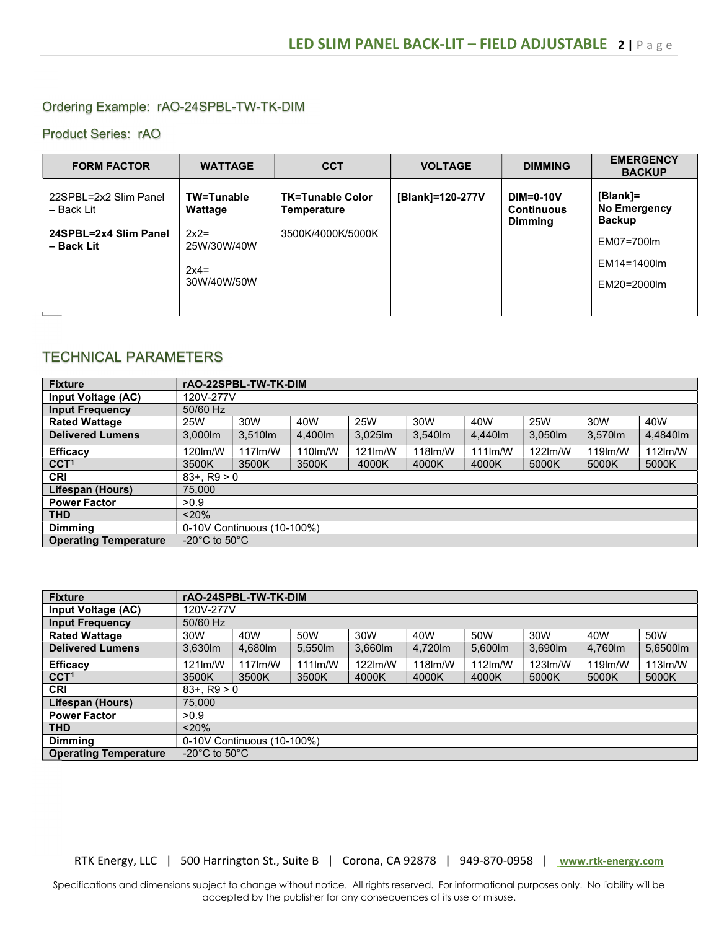## Ordering Example: rAO-24SPBL-TW-TK-DIM

#### Product Series: rAO

| <b>FORM FACTOR</b>                                                         | <b>WATTAGE</b>                                                          | <b>CCT</b>                                                  | <b>VOLTAGE</b>   | <b>DIMMING</b>                                          | <b>EMERGENCY</b><br><b>BACKUP</b>                                                            |
|----------------------------------------------------------------------------|-------------------------------------------------------------------------|-------------------------------------------------------------|------------------|---------------------------------------------------------|----------------------------------------------------------------------------------------------|
| 22SPBL=2x2 Slim Panel<br>– Back Lit<br>24SPBL=2x4 Slim Panel<br>- Back Lit | TW=Tunable<br>Wattage<br>$2x2=$<br>25W/30W/40W<br>$2x4=$<br>30W/40W/50W | <b>TK=Tunable Color</b><br>Temperature<br>3500K/4000K/5000K | [Blank]=120-277V | <b>DIM=0-10V</b><br><b>Continuous</b><br><b>Dimming</b> | [Blank]=<br><b>No Emergency</b><br><b>Backup</b><br>EM07=700lm<br>EM14=1400lm<br>EM20=2000lm |
|                                                                            |                                                                         |                                                             |                  |                                                         |                                                                                              |

# TECHNICAL PARAMETERS

| <b>Fixture</b>               | rAO-22SPBL-TW-TK-DIM                |            |         |                     |         |            |         |                      |            |
|------------------------------|-------------------------------------|------------|---------|---------------------|---------|------------|---------|----------------------|------------|
| Input Voltage (AC)           | 120V-277V                           |            |         |                     |         |            |         |                      |            |
| <b>Input Frequency</b>       | 50/60 Hz                            |            |         |                     |         |            |         |                      |            |
| <b>Rated Wattage</b>         | 25W                                 | 30W        | 40W     | <b>25W</b>          | 30W     | 40W        | 25W     | 30W                  | 40W        |
| <b>Delivered Lumens</b>      | 3,000lm                             | 3,510lm    | 4,400lm | $3.025$ $\text{Im}$ | 3,540lm | 4,440lm    | 3,050lm | 3,570lm              | 4,4840lm   |
| <b>Efficacy</b>              | 120lm/W                             | $117$ lm/W | 110lm/W | $121$ lm/W          | 118lm/W | $111$ lm/W | 122lm/W | 119 <sub>lm</sub> /W | $112$ lm/W |
| CCT <sup>1</sup>             | 3500K                               | 3500K      | 3500K   | 4000K               | 4000K   | 4000K      | 5000K   | 5000K                | 5000K      |
| <b>CRI</b>                   | $83 + . R9 > 0$                     |            |         |                     |         |            |         |                      |            |
| Lifespan (Hours)             | 75,000                              |            |         |                     |         |            |         |                      |            |
| <b>Power Factor</b>          | >0.9                                |            |         |                     |         |            |         |                      |            |
| <b>THD</b>                   | < 20%                               |            |         |                     |         |            |         |                      |            |
| <b>Dimming</b>               | 0-10V Continuous (10-100%)          |            |         |                     |         |            |         |                      |            |
| <b>Operating Temperature</b> | -20 $^{\circ}$ C to 50 $^{\circ}$ C |            |         |                     |         |            |         |                      |            |

| <b>Fixture</b>               | rAO-24SPBL-TW-TK-DIM                |            |            |            |          |            |           |                      |           |
|------------------------------|-------------------------------------|------------|------------|------------|----------|------------|-----------|----------------------|-----------|
| <b>Input Voltage (AC)</b>    | 120V-277V                           |            |            |            |          |            |           |                      |           |
| <b>Input Frequency</b>       | 50/60 Hz                            |            |            |            |          |            |           |                      |           |
| <b>Rated Wattage</b>         | 30W                                 | 40W        | 50W        | 30W        | 40W      | 50W        | 30W       | 40W                  | 50W       |
| <b>Delivered Lumens</b>      | 3,630lm                             | 4,680 lm   | 5,550lm    | 3,660lm    | 4,720 lm | 5,600lm    | 3,690lm   | 4,760 lm             | 5,6500lm  |
| <b>Efficacy</b>              | $121$ m/W                           | $117$ lm/W | $111$ lm/W | $122$ lm/W | 118lm/W  | $112$ lm/W | $123$ m/W | 119 <sub>lm</sub> /W | $113$ m/W |
| CCT <sup>1</sup>             | 3500K                               | 3500K      | 3500K      | 4000K      | 4000K    | 4000K      | 5000K     | 5000K                | 5000K     |
| <b>CRI</b>                   | $83+$ , R9 $> 0$                    |            |            |            |          |            |           |                      |           |
| Lifespan (Hours)             | 75,000                              |            |            |            |          |            |           |                      |           |
| <b>Power Factor</b>          | >0.9                                |            |            |            |          |            |           |                      |           |
| <b>THD</b>                   | $< 20\%$                            |            |            |            |          |            |           |                      |           |
| <b>Dimmina</b>               | 0-10V Continuous (10-100%)          |            |            |            |          |            |           |                      |           |
| <b>Operating Temperature</b> | -20 $^{\circ}$ C to 50 $^{\circ}$ C |            |            |            |          |            |           |                      |           |

RTK Energy, LLC | 500 Harrington St., Suite B | Corona, CA 92878 | 949-870-0958 | www.rtk-energy.com

Specifications and dimensions subject to change without notice. All rights reserved. For informational purposes only. No liability will be accepted by the publisher for any consequences of its use or misuse.